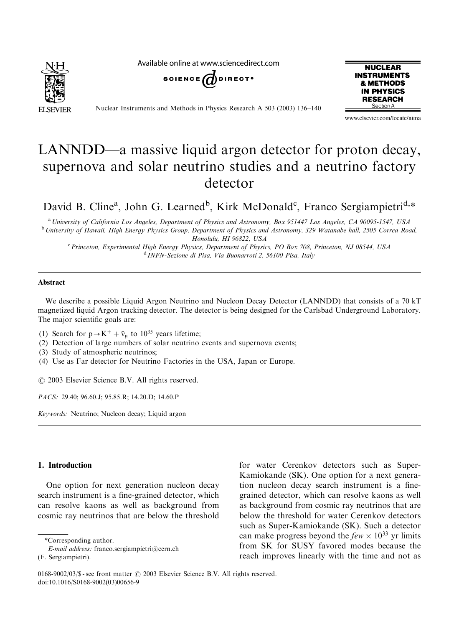

Available online at www.sciencedirect.com





Nuclear Instruments and Methods in Physics Research A 503 (2003) 136–140

www.elsevier.com/locate/nima

# LANNDD—a massive liquid argon detector for proton decay, supernova and solar neutrino studies and a neutrino factory detector

David B. Cline<sup>a</sup>, John G. Learned<sup>b</sup>, Kirk McDonald<sup>c</sup>, Franco Sergiampietri<sup>d,\*</sup>

<sup>a</sup> University of California Los Angeles, Department of Physics and Astronomy, Box 951447 Los Angeles, CA 90095-1547, USA <sup>b</sup> University of Hawaii, High Energy Physics Group, Department of Physics and Astronomy, 329 Watanabe hall, 2505 Correa Road, Honolulu, HI 96822, USA

<sup>c</sup> Princeton, Experimental High Energy Physics, Department of Physics, PO Box 708, Princeton, NJ 08544, USA <sup>d</sup> INFN-Sezione di Pisa, Via Buonarroti 2, 56100 Pisa, Italy

#### Abstract

We describe a possible Liquid Argon Neutrino and Nucleon Decay Detector (LANNDD) that consists of a 70 kT magnetized liquid Argon tracking detector. The detector is being designed for the Carlsbad Underground Laboratory. The major scientific goals are:

- (1) Search for  $p \rightarrow K^+ + \bar{v}_{\mu}$  to 10<sup>35</sup> years lifetime;
- (2) Detection of large numbers of solar neutrino events and supernova events;
- (3) Study of atmospheric neutrinos;
- (4) Use as Far detector for Neutrino Factories in the USA, Japan or Europe.

 $\odot$  2003 Elsevier Science B.V. All rights reserved.

PACS: 29.40; 96.60.J; 95.85.R; 14.20.D; 14.60.P

Keywords: Neutrino; Nucleon decay; Liquid argon

### 1. Introduction

One option for next generation nucleon decay search instrument is a fine-grained detector, which can resolve kaons as well as background from cosmic ray neutrinos that are below the threshold for water Cerenkov detectors such as Super-Kamiokande (SK). One option for a next generation nucleon decay search instrument is a finegrained detector, which can resolve kaons as well as background from cosmic ray neutrinos that are below the threshold for water Cerenkov detectors such as Super-Kamiokande (SK). Such a detector can make progress beyond the  $few \times 10^{33}$  yr limits from SK for SUSY favored modes because the reach improves linearly with the time and not as

<sup>\*</sup>Corresponding author.

E-mail address: franco.sergiampietri@cern.ch

<sup>(</sup>F. Sergiampietri).

<sup>0168-9002/03/\$ -</sup> see front matter  $\odot$  2003 Elsevier Science B.V. All rights reserved. doi:10.1016/S0168-9002(03)00656-9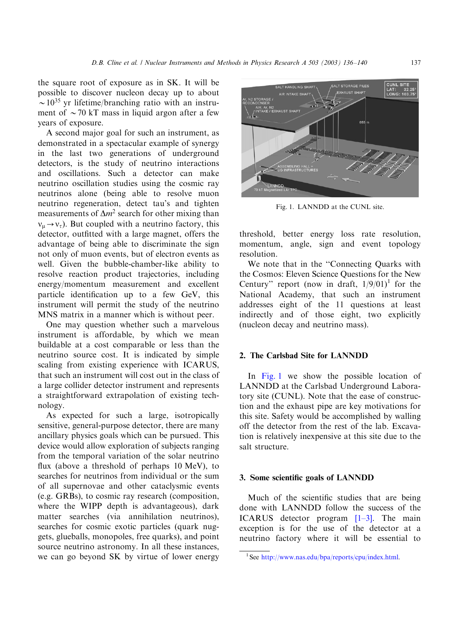the square root of exposure as in SK. It will be possible to discover nucleon decay up to about  $\sim$  10<sup>35</sup> yr lifetime/branching ratio with an instrument of  $\sim$  70 kT mass in liquid argon after a few years of exposure.

A second major goal for such an instrument, as demonstrated in a spectacular example of synergy in the last two generations of underground detectors, is the study of neutrino interactions and oscillations. Such a detector can make neutrino oscillation studies using the cosmic ray neutrinos alone (being able to resolve muon neutrino regeneration, detect tau's and tighten measurements of  $\Delta m^2$  search for other mixing than  $v_0 \rightarrow v_\tau$ ). But coupled with a neutrino factory, this detector, outfitted with a large magnet, offers the advantage of being able to discriminate the sign not only of muon events, but of electron events as well. Given the bubble-chamber-like ability to resolve reaction product trajectories, including energy/momentum measurement and excellent particle identification up to a few GeV, this instrument will permit the study of the neutrino MNS matrix in a manner which is without peer.

One may question whether such a marvelous instrument is affordable, by which we mean buildable at a cost comparable or less than the neutrino source cost. It is indicated by simple scaling from existing experience with ICARUS, that such an instrument will cost out in the class of a large collider detector instrument and represents a straightforward extrapolation of existing technology.

As expected for such a large, isotropically sensitive, general-purpose detector, there are many ancillary physics goals which can be pursued. This device would allow exploration of subjects ranging from the temporal variation of the solar neutrino flux (above a threshold of perhaps 10 MeV), to searches for neutrinos from individual or the sum of all supernovae and other cataclysmic events (e.g. GRBs), to cosmic ray research (composition, where the WIPP depth is advantageous), dark matter searches (via annihilation neutrinos), searches for cosmic exotic particles (quark nuggets, glueballs, monopoles, free quarks), and point source neutrino astronomy. In all these instances, we can go beyond SK by virtue of lower energy



Fig. 1. LANNDD at the CUNL site.

threshold, better energy loss rate resolution, momentum, angle, sign and event topology resolution.

We note that in the ''Connecting Quarks with the Cosmos: Eleven Science Questions for the New Century" report (now in draft,  $1/9/01$ )<sup>1</sup> for the National Academy, that such an instrument addresses eight of the 11 questions at least indirectly and of those eight, two explicitly (nucleon decay and neutrino mass).

### 2. The Carlsbad Site for LANNDD

In Fig. 1 we show the possible location of LANNDD at the Carlsbad Underground Laboratory site (CUNL). Note that the ease of construction and the exhaust pipe are key motivations for this site. Safety would be accomplished by walling off the detector from the rest of the lab. Excavation is relatively inexpensive at this site due to the salt structure.

#### 3. Some scientific goals of LANNDD

Much of the scientific studies that are being done with LANNDD follow the success of the ICARUS detector program  $[1-3]$ . The main exception is for the use of the detector at a neutrino factory where it will be essential to

 $1$  See <http://www.nas.edu/bpa/reports/cpu/index.html>.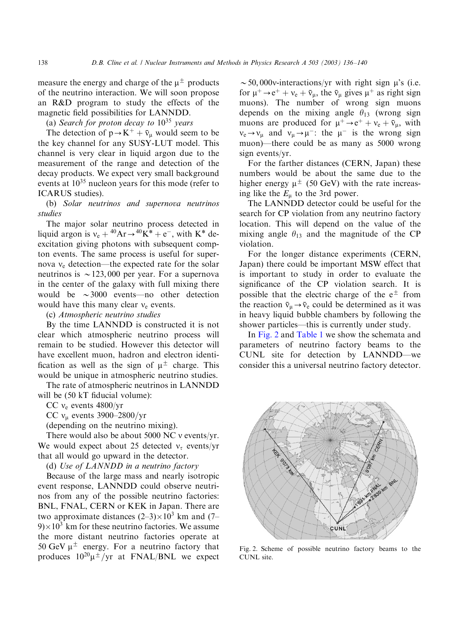measure the energy and charge of the  $\mu^{\pm}$  products of the neutrino interaction. We will soon propose an R&D program to study the effects of the magnetic field possibilities for LANNDD.

(a) Search for proton decay to  $10^{35}$  years

The detection of  $p \rightarrow K^+ + \bar{v}_{\mu}$  would seem to be the key channel for any SUSY-LUT model. This channel is very clear in liquid argon due to the measurement of the range and detection of the decay products. We expect very small background events at  $10^{35}$  nucleon years for this mode (refer to ICARUS studies).

(b) Solar neutrinos and supernova neutrinos studies

The major solar neutrino process detected in liquid argon is  $v_e + {}^{40}Ar \rightarrow {}^{40}K^* + e^-$ , with  $K^*$  deexcitation giving photons with subsequent compton events. The same process is useful for supernova  $v_e$  detection—the expected rate for the solar neutrinos is  $\sim$  123,000 per year. For a supernova in the center of the galaxy with full mixing there would be  $\sim$ 3000 events—no other detection would have this many clear  $v_e$  events.

(c) Atmospheric neutrino studies

By the time LANNDD is constructed it is not clear which atmospheric neutrino process will remain to be studied. However this detector will have excellent muon, hadron and electron identification as well as the sign of  $\mu^{\pm}$  charge. This would be unique in atmospheric neutrino studies.

The rate of atmospheric neutrinos in LANNDD will be  $(50 \text{ kT}$  fiducial volume):

CC  $v_e$  events 4800/yr

CC  $v_u$  events 3900–2800/yr

(depending on the neutrino mixing).

There would also be about 5000 NC  $\nu$  events/yr. We would expect about 25 detected  $v<sub>\tau</sub>$  events/yr that all would go upward in the detector.

(d) Use of LANNDD in a neutrino factory

Because of the large mass and nearly isotropic event response, LANNDD could observe neutrinos from any of the possible neutrino factories: BNL, FNAL, CERN or KEK in Japan. There are two approximate distances  $(2-3) \times 10^3$  km and  $(7 9 \times 10^3$  km for these neutrino factories. We assume the more distant neutrino factories operate at 50 GeV  $\mu^{\pm}$  energy. For a neutrino factory that produces  $10^{20} \mu^{\pm}/yr$  at FNAL/BNL we expect

 $\sim$  50,000v-interactions/yr with right sign  $\mu$ 's (i.e. for  $\mu^+ \rightarrow e^+ + \nu_e + \bar{\nu}_{\mu}$ , the  $\bar{\nu}_{\mu}$  gives  $\mu^+$  as right sign muons). The number of wrong sign muons depends on the mixing angle  $\theta_{13}$  (wrong sign muons are produced for  $\mu^+ \rightarrow e^+ + \nu_e + \bar{\nu}_u$ , with  $v_e \rightarrow v_\mu$  and  $v_\mu \rightarrow \mu^-$ : the  $\mu^-$  is the wrong sign muon)—there could be as many as 5000 wrong sign events/yr.

For the farther distances (CERN, Japan) these numbers would be about the same due to the higher energy  $\mu^{\pm}$  (50 GeV) with the rate increasing like the  $E_{\mu}$  to the 3rd power.

The LANNDD detector could be useful for the search for CP violation from any neutrino factory location. This will depend on the value of the mixing angle  $\theta_{13}$  and the magnitude of the CP violation.

For the longer distance experiments (CERN, Japan) there could be important MSW effect that is important to study in order to evaluate the significance of the CP violation search. It is possible that the electric charge of the  $e^{\pm}$  from the reaction  $\bar{v}_{\mu} \rightarrow \bar{v}_{e}$  could be determined as it was in heavy liquid bubble chambers by following the shower particles—this is currently under study.

In Fig. 2 and [Table 1](#page-3-0) we show the schemata and parameters of neutrino factory beams to the CUNL site for detection by LANNDD—we consider this a universal neutrino factory detector.



Fig. 2. Scheme of possible neutrino factory beams to the CUNL site.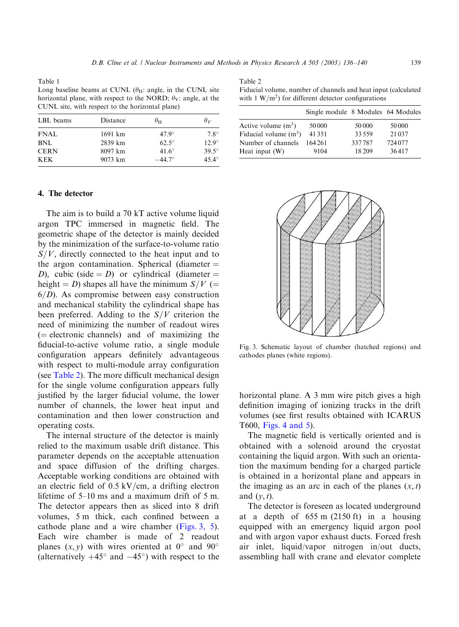<span id="page-3-0"></span>Long baseline beams at CUNL ( $\theta_H$ : angle, in the CUNL site horizontal plane, with respect to the NORD;  $\theta$ <sub>V</sub>: angle, at the

| CUNL site, with respect to the horizontal plane) |          |               |              |  |
|--------------------------------------------------|----------|---------------|--------------|--|
| LBL beams                                        | Distance | $\theta_H$    | $\theta_V$   |  |
| <b>FNAL</b>                                      | 1691 km  | $47.9^\circ$  | $7.8^\circ$  |  |
| <b>BNL</b>                                       | 2839 km  | $62.5^\circ$  | $12.9^\circ$ |  |
| <b>CERN</b>                                      | 8097 km  | $41.6^\circ$  | $39.5^\circ$ |  |
| <b>KEK</b>                                       | 9073 km  | $-44.7^\circ$ | 45 $4^\circ$ |  |

Table 2

| Fiducial volume, number of channels and heat input (calculated |  |
|----------------------------------------------------------------|--|
| with 1 $W/m2$ for different detector configurations            |  |

|                         | Single module 8 Modules 64 Modules |        |         |
|-------------------------|------------------------------------|--------|---------|
| Active volume $(m^3)$   | 50 000                             | 50000  | 50 000  |
| Fiducial volume $(m^3)$ | 41 3 51                            | 33559  | 21 0 37 |
| Number of channels      | 164 261                            | 337787 | 724077  |
| Heat input $(W)$        | 9104                               | 18 209 | 36417   |

## 4. The detector

Table 1

The aim is to build a 70 kT active volume liquid argon TPC immersed in magnetic field. The geometric shape of the detector is mainly decided by the minimization of the surface-to-volume ratio  $S/V$ , directly connected to the heat input and to the argon contamination. Spherical (diameter  $=$ D), cubic (side = D) or cylindrical (diameter = height = D) shapes all have the minimum  $S/V$  (=  $6/D$ ). As compromise between easy construction and mechanical stability the cylindrical shape has been preferred. Adding to the  $S/V$  criterion the need of minimizing the number of readout wires  $($  electronic channels) and of maximizing the fiducial-to-active volume ratio, a single module configuration appears definitely advantageous with respect to multi-module array configuration (see Table 2). The more difficult mechanical design for the single volume configuration appears fully justified by the larger fiducial volume, the lower number of channels, the lower heat input and contamination and then lower construction and operating costs.

The internal structure of the detector is mainly relied to the maximum usable drift distance. This parameter depends on the acceptable attenuation and space diffusion of the drifting charges. Acceptable working conditions are obtained with an electric field of  $0.5 \text{ kV/cm}$ , a drifting electron lifetime of 5–10 ms and a maximum drift of 5 m: The detector appears then as sliced into 8 drift volumes, 5 m thick, each confined between a cathode plane and a wire chamber (Figs. 3, 5). Each wire chamber is made of 2 readout planes  $(x, y)$  with wires oriented at  $0^{\circ}$  and  $90^{\circ}$ (alternatively  $+45^{\circ}$  and  $-45^{\circ}$ ) with respect to the



Fig. 3. Schematic layout of chamber (hatched regions) and cathodes planes (white regions).

horizontal plane. A 3 mm wire pitch gives a high definition imaging of ionizing tracks in the drift volumes (see first results obtained with ICARUS T600, [Figs. 4 and 5\)](#page-4-0).

The magnetic field is vertically oriented and is obtained with a solenoid around the cryostat containing the liquid argon. With such an orientation the maximum bending for a charged particle is obtained in a horizontal plane and appears in the imaging as an arc in each of the planes  $(x, t)$ and  $(y, t)$ .

The detector is foreseen as located underground at a depth of  $655 \text{ m}$  (2150 ft) in a housing equipped with an emergency liquid argon pool and with argon vapor exhaust ducts. Forced fresh air inlet, liquid/vapor nitrogen in/out ducts, assembling hall with crane and elevator complete